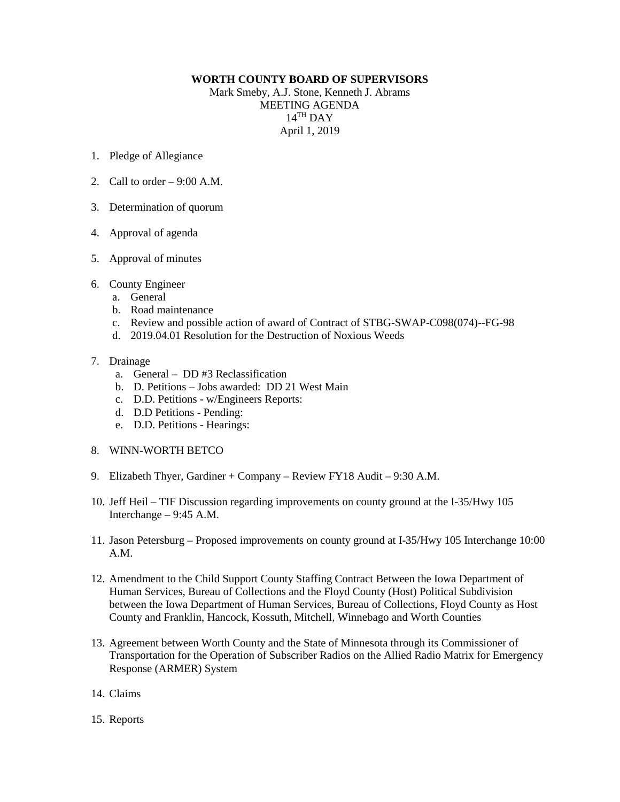## **WORTH COUNTY BOARD OF SUPERVISORS**

Mark Smeby, A.J. Stone, Kenneth J. Abrams MEETING AGENDA 14TH DAY April 1, 2019

- 1. Pledge of Allegiance
- 2. Call to order  $-9:00$  A.M.
- 3. Determination of quorum
- 4. Approval of agenda
- 5. Approval of minutes
- 6. County Engineer
	- a. General
	- b. Road maintenance
	- c. Review and possible action of award of Contract of STBG-SWAP-C098(074)--FG-98
	- d. 2019.04.01 Resolution for the Destruction of Noxious Weeds

## 7. Drainage

- a. General DD #3 Reclassification
- b. D. Petitions Jobs awarded: DD 21 West Main
- c. D.D. Petitions w/Engineers Reports:
- d. D.D Petitions Pending:
- e. D.D. Petitions Hearings:
- 8. WINN-WORTH BETCO
- 9. Elizabeth Thyer, Gardiner + Company Review FY18 Audit 9:30 A.M.
- 10. Jeff Heil TIF Discussion regarding improvements on county ground at the I-35/Hwy 105 Interchange – 9:45 A.M.
- 11. Jason Petersburg Proposed improvements on county ground at I-35/Hwy 105 Interchange 10:00 A.M.
- 12. Amendment to the Child Support County Staffing Contract Between the Iowa Department of Human Services, Bureau of Collections and the Floyd County (Host) Political Subdivision between the Iowa Department of Human Services, Bureau of Collections, Floyd County as Host County and Franklin, Hancock, Kossuth, Mitchell, Winnebago and Worth Counties
- 13. Agreement between Worth County and the State of Minnesota through its Commissioner of Transportation for the Operation of Subscriber Radios on the Allied Radio Matrix for Emergency Response (ARMER) System
- 14. Claims
- 15. Reports